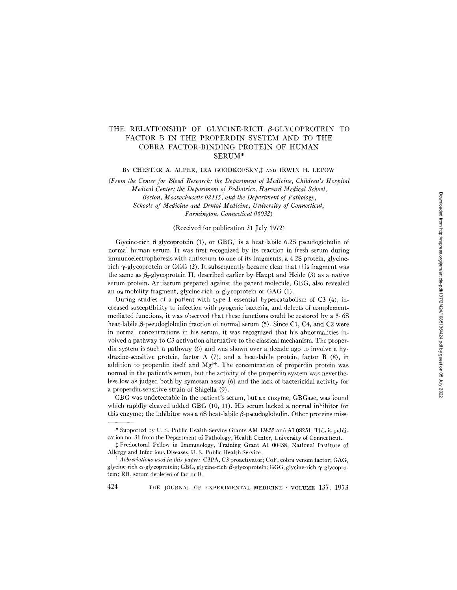# THE RELATIONSHIP OF GLYCINE-RICH B-GLYCOPROTEIN TO FACTOR B IN THE PROPERDIN SYSTEM AND TO THE COBRA FACTOR-BINDING PROTEIN OF HUMAN SERUM\*

# BY CHESTER A. ALPER, IRA GOODKOFSKY, I AND IRWIN H. LEPOW

*(From the Center for Blood Research; the Department of Medicine, Children's Hospital Medical Center; the Department of Pediatrics, Harvard Medical School,*   $B$ oston, Massachusetts 02115, and the Department of Pathology, *Schools of Medicine and Dental Medicine, University of Connecticut, Farmington, Connecticut 06032)* 

### (Received for publication 31 July 1972)

Glycine-rich  $\beta$ -glycoprotein (1), or GBG,<sup>1</sup> is a heat-labile 6.2S pseudoglobulin of normal human serum. It was first recognized by its reaction in fresh serum during immunoelectrophoresis with antiserum to one of its fragments, a 4.2S protein, glycinerich  $\gamma$ -glycoprotein or GGG (2). It subsequently became clear that this fragment was the same as  $\beta_2$ -glycoprotein II, described earlier by Haupt and Heide (3) as a native serum protein. Antiserum prepared against the parent molecule, GBG, also revealed an  $\alpha_2$ -mobility fragment, glycine-rich  $\alpha$ -glycoprotein or GAG (1).

During studies of a patient with type I essential hypercatabolism of C3 (4), increased susceptibility to infection with pyogenic bacteria, and defects of complementmediated functions, it was observed that these functions could be restored by a 5-6S heat-labile  $\beta$ -pseudoglobulin fraction of normal serum (5). Since C1, C4, and C2 were in normal concentrations in his serum, it was recognized that his abnormalities involved a pathway to C3 activation alternative to the classical mechanism. The properdin system is such a pathway (6) and was shown over a decade ago to involve a hydrazine-sensitive protein, factor A (7), and a heat-labile protein, factor B (8), in addition to properdin itself and  $Mg^{2+}$ . The concentration of properdin protein was normal in the patient's serum, but the activity of the properdin system was nevertheless low as judged both by zymosan assay (6) and the lack of bactericidal activity for a properdin-sensitive strain of Shigella  $(9)$ .

GBG was undetectable in the patient's serum, but an enzyme, GBGase, was found which rapidly cleaved added GBG (10, 11). His serum lacked a normal inhibitor for this enzyme; the inhibitor was a 6S heat-labile  $\beta$ -pseudoglobulin. Other proteins miss-

<sup>\*</sup> Supported by U. S. Public Health Service Grants AM 13855 and AI 08251. This is publication no. 31 from the Department of Pathology, Health Center, University of Connecticut.

<sup>:~</sup> Predoctoral Fellow in Immunology, Training Grant AI 00438, National Institute of Allergy and Infectious Diseases, U. S. Public Health Service.

<sup>&</sup>lt;sup>1</sup> Abbreviations used in this paper: C3PA, C3 proactivator; CoF, cobra venom factor; GAG, glycine-rich  $\alpha$ -glycoprotein; GBG, glycine-rich  $\beta$ -glycoprotein; GGG, glycine-rich  $\gamma$ -glycoprotein; RB, serum depleted of factor B.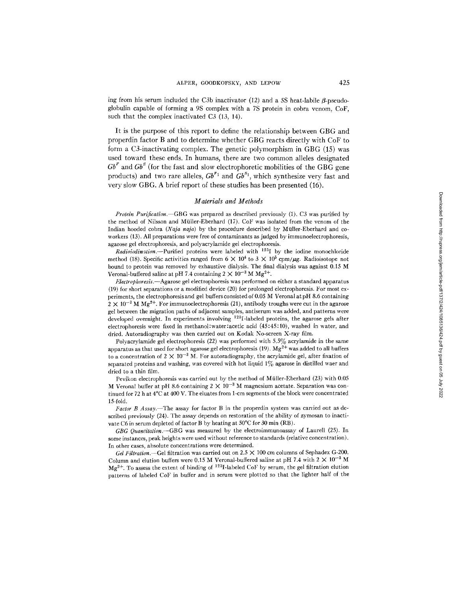ing from his serum included the C3b inactivator (12) and a 5S heat-labile  $\beta$ -pseudoglobulin capable of forming a 9S complex with a 7S protein in cobra venom, CoF, such that the complex inactivated C3 (13, 14).

It is the purpose of this report to define the relationship between GBG and properdin factor B and to determine whether GBG reacts directly with CoF to form a C3-inactivating complex. The genetic polymorphism in GBG (15) was used toward these ends. In humans, there are two common alleles designated  $Gb<sup>F</sup>$  and  $Gb<sup>S</sup>$  (for the fast and slow electrophoretic mobilities of the GBG gene products) and two rare alleles,  $Gb^{r_1}$  and  $Gb^{s_1}$ , which synthesize very fast and very slow GBG. A brief report of these studies has been presented (16).

## *Materials and Methods*

*Protein Purification.--GBG* was prepared as described previously (1). C3 was purified by the method of Nilsson and Müller-Eberhard (17). CoF was isolated from the venom of the Indian hooded cobra *(Naja naja)* by the procedure described by Mtiller-Eberhard and coworkers (13). All preparations were free of contaminants as judged by immunoelectrophoresis, agarose gel electrophoresis, and polyacrylamide gel electrophoresis.

*Radioiodination.*--Purified proteins were labeled with <sup>125</sup>I by the iodine monochloride method (18). Specific activities ranged from  $6 \times 10^4$  to  $3 \times 10^5$  cpm/ $\mu$ g. Radioisotope not bound to protein was removed by exhaustive dialysis. The final dialysis was against 0.15 M Veronal-buffered saline at pH 7.4 containing  $2 \times 10^{-3}$  M Mg<sup>2+</sup>.

*pilectrophoresis.--Agarose* gel electrophoresis was performed on either a standard apparatus (19) for short separations or a modified device (20) for prolonged electrophoresis. For most experiments, the electrophoresis and gel buffers consisted of 0.05 M Veronal at pH 8.6 containing  $2 \times 10^{-3}$  M Mg<sup>2+</sup>. For immunoelectrophoresis (21), antibody troughs were cut in the agarose gel between the migration paths of adjacent samples, antiserum was added, and patterns were developed overnight. In experiments involving 1251-labeled proteins, the agarose gels after electrophoresis were fixed in methanol:water :acetic acid (45:45:10), washed in water, and dried. Autoradiography was then carried out on Kodak No-screen X-ray film.

Polyacrylamide gel electrophoresis  $(22)$  was performed with  $5.5\%$  acrylamide in the same apparatus as that used for short agarose gel electrophoresis (19).  $Mg^{2+}$  was added to all buffers to a concentration of  $2 \times 10^{-3}$  M. For autoradiography, the acrylamide gel, after fixation of separated proteins and washing, was covered with hot liquid  $1\%$  agarose in distilled waer and dried to a thin film.

Pevikon electrophoresis was carried out by the method of Müller-Eberhard (23) with 0.05 M Veronal buffer at pH 8.6 containing  $2 \times 10^{-3}$  M magnesium acetate. Separation was continued for 72 h at 4°C at 400 V. The eluates from 1-cm segments of the block were concentrated 15-fold.

*Factor B Assay.--The* assay for factor B in the properdin system was carried out as described previously (24). The assay depends on restoration of the ability of zymosan to inactivate C6 in serum depleted of factor B by heating at 50°C for 30 min (RB).

*GBG Quantitation.*-GBG was measured by the electroimmunoassay of Laurell (25). In some instances, peak heights were used without reference to standards (relative concentration). In other cases, absolute concentrations were determined.

*Gel Filtration.*—Gel filtration was carried out on  $2.5 \times 100$  cm columns of Sephadex G-200. Column and elution buffers were 0.15 M Veronal-buffered saline at pH 7.4 with  $2 \times 10^{-3}$  M  $Mg^{2+}$ . To assess the extent of binding of  $125I$ -labeled CoF by serum, the gel filtration elution patterns of labeled CoF in buffer and in serum were plotted so that the lighter half of the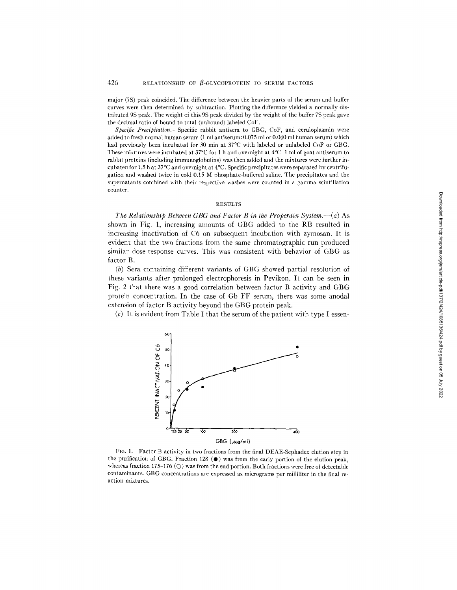major (7S) peak coincided. The difference between the heavier parts of the serum and buffer curves were then determined by subtraction. Plotting the difference yielded a normally distributed 9S peak. The weight of this 9S peak divided by the weight of the buffer 7S peak gave the decimal ratio of bound to total (unbound) labeled CoF.

*Specific Precipitation.*—Specific rabbit antisera to GBG, CoF, and ceruloplasmin were added to fresh normal human serum (1 ml antiserum:0.075 ml or 0.040 ml human serum) which had previously been incubated for 30 min at 37°C with labeled or unlabeled CoF or GBG. These mixtures were incubated at  $37^{\circ}\text{C}$  for 1 h and overnight at  $4^{\circ}\text{C}$ . 1 ml of goat antiserum to rabbit proteins (including immunoglobulins) was then added and the mixtures were further incubated for 1.5 h at 37°C and overnight at 4°C. Specific precipitates were separated by centrifugation and washed twice in cold 0.15 M phosphate-buffered saline. The precipitates and the supernatants combined with their respective washes were counted in a gamma scintillation counter.

## **RESULTS**

*The Relationship Between GBG and Factor B in the Properdin System.*--(a) As shown in Fig. 1, increasing amounts of GBG added to the RB resulted in increasing inactivation of C6 on subsequent incubation with zymosan. It is evident that the two fractions from the same chromatographic run produced similar dose-response curves. This was consistent with behavior of GBG as factor B.

(b) Sera containing different variants of GBG showed partial resolution of these variants after prolonged electrophoresis in Pevikon. It can be seen in Fig. 2 that there was a good correlation between factor B activity and GBG protein concentration. In the case of Gb FF serum, there was some anodal extension of factor B activity beyond the GBG protein peak.

(c) It is evident from Table I that the serum of the patient with type I essen-



FIG. 1. Factor B activity in two fractions from the final DEAE-Sephadex elution step in the purification of GBG. Fraction 128  $(\bullet)$  was from the early portion of the elution peak, whereas fraction 175-176  $\circ$  was from the end portion. Both fractions were free of detectable contaminants. GBG concentrations are expressed as micrograms per milliliter in the final reaction mixtures.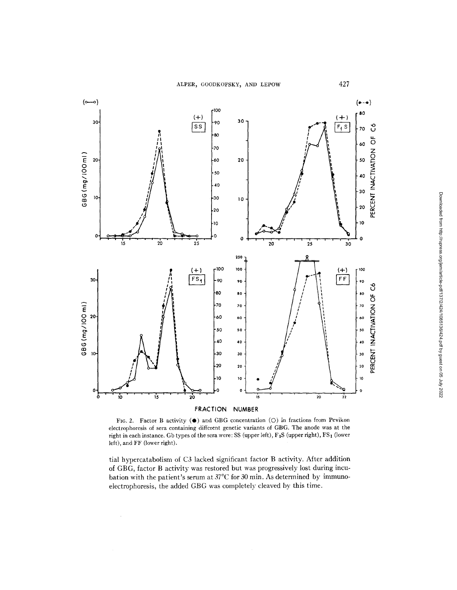

FIG. 2. Factor B activity ( $\bullet$ ) and GBG concentration (O) in fractions from Pevikon electrophoresis of sera containing different genetic variants of GBG. The anode was at the right in each instance. Gb types of the sera were: SS (upper left), F<sub>1</sub>S (upper right), FS<sub>1</sub> (lower left), and FF (lower right).

tial hypercatabolism of C3 lacked significant factor B activity. After addition bation with the patient's serum at  $37^{\circ}$ C for 30 min. As determined by immuno- $\alpha$  batter photosic, the added GBG was completely cleaved by this time. electrophoresis, the added GBG was completely cleaved by the added GBG was completely cleaved by this time. The

 $\bar{z}$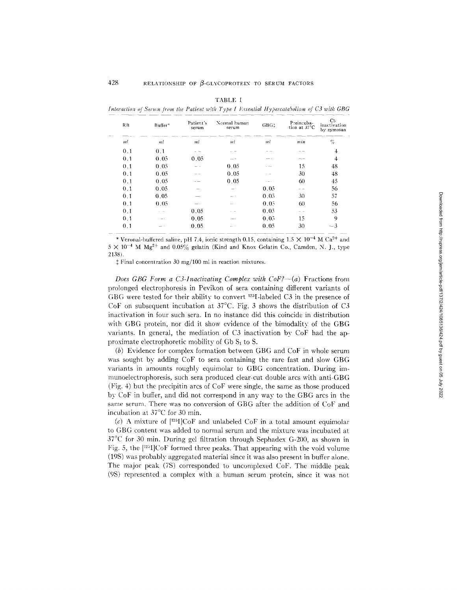| . . | г |  |
|-----|---|--|
|     |   |  |

*Interaction of Serum from the Patient with Type I Essential Hypercatabolism of C3 with GBG* 

| RB             | Buffer*     | Patient's<br>serum | Normal human<br>serum | GBG:          | Preincuba-<br>tion at 37°C | C6<br>inactivation<br>by zymosan |
|----------------|-------------|--------------------|-----------------------|---------------|----------------------------|----------------------------------|
| ml             | ml          | ml                 | ml                    | ml            | min                        | %                                |
| 0.1            | 0.1         |                    |                       |               |                            | $\overline{4}$                   |
| 0.1            | 0.05        | 0.05               |                       |               |                            | 4                                |
| 0.1            | 0.05        |                    | 0.05                  |               | 15                         | 48                               |
| 0 <sub>1</sub> | 0.05        |                    | 0.05                  |               | 30                         | 48                               |
| 0.1            | 0.05        |                    | 0.05                  | <b>Common</b> | 60                         | 45                               |
| 0.1            | 0.05        |                    |                       | 0.05          |                            | 56                               |
| 0.1            | 0.05        |                    | man in                | 0.05          | 30                         | 57                               |
| 0.1            | 0.05        | --                 | $-11111$              | 0.05          | 60                         | 56                               |
| 0.1            | . .         | 0.05               |                       | 0.05          |                            | 53                               |
| 0.1            | and more in | 0.05               | <b>COMPANY</b>        | 0.05          | 15                         | 9                                |
| 0.1            | --          | 0.05               | ----                  | 0.05          | 30                         | $-3$                             |

\* Veronal-buffered saline, pH 7.4, ionic strength 0.15, containing  $1.5 \times 10^{-4}$  M Ca<sup>2+</sup> and  $5 \times 10^{-4}$  M  $Mg^{2+}$  and  $0.05\%$  gelatin (Kind and Knox Gelatin Co., Camden, N. J., type 2138).

{ Final concentration 30 mg/100 ml in reaction mixtures.

*Does GBG Form a C3-Inactivating Complex with CoF?--(a)* Fractions from prolonged electrophoresis in Pevikon of sera containing different variants of GBG were tested for their ability to convert  $^{125}I$ -labeled C3 in the presence of CoF on subsequent incubation at  $37^{\circ}$ C. Fig. 3 shows the distribution of C3 inactivation in four such sera. In no instance did this coincide in distribution with GBG protein, nor did it show evidence of the bimodality of the GBG variants. In general, the mediation of C3 inactivation by CoF had the approximate electrophoretic mobility of Gb  $S<sub>1</sub>$  to S.

(b) Evidence for complex formation between GBG and CoF in whole serum was sought by adding CoF to sera containing the rare fast and slow GBG variants in amounts roughly equimolar to GBG concentration. During immunoelectrophoresis, such sera produced clear-cut double arcs with anti-GBG (Fig. 4) but the precipitin arcs of CoF were single, the same as those produced by CoF in buffer, and did not correspond in any way to the GBG arcs in the same serum. There was no conversion of GBG after the addition of CoF and incubation at  $37^{\circ}$ C for 30 min.

(c) A mixture of  $[^{125}I]CoF$  and unlabeled CoF in a total amount equimolar to GBG content was added to normal serum and the mixture was incubated at  $37^{\circ}$ C for 30 min. During gel filtration through Sephadex G-200, as shown in Fig. 5, the  $[^{125}]$ CoF formed three peaks. That appearing with the void volume (19S) was probably aggregated material since it was also present in buffer alone. The major peak (7S) corresponded to uncomplexed CoF. The middle peak (9S) represented a complex with a human serum protein, since it was not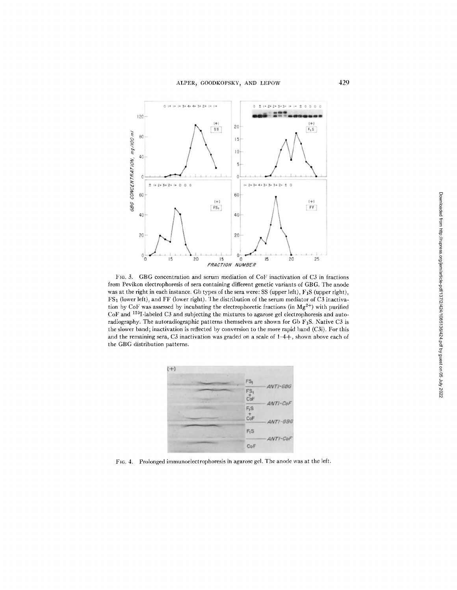

FIG. 3. GBG concentration and serum mediation of CoF inactivation of C3 in fractions from Pevikon electrophoresis of sera containing different genetic variants of GBG. The anode was at the right in each instance. Gb types of the sera were: SS (upper left), F<sub>1</sub>S (upper right), FS<sub>1</sub> (lower left), and FF (lower right). The distribution of the serum mediator of C3 inactivation by CoF was assessed by incubating the electrophoretic fractions (in  $Mg^{2+}$ ) with purified CoF and <sup>125</sup>I-labeled C3 and subjecting the mixtures to agarose gel electrophoresis and autoradiography. The autoradiographic patterns themselves are shown for Gb  $F_1S$ . Native C3 is the slower band; inactivation is reflected by conversion to the more rapid band (C3i). For this and the remaining sera, C3 inactivation was graded on a scale of 1-4+, shown above each of the GBG distribution patterns.



FIG. 4. Prolonged immunoelectrophoresis in agarose gel. The anode was at the left.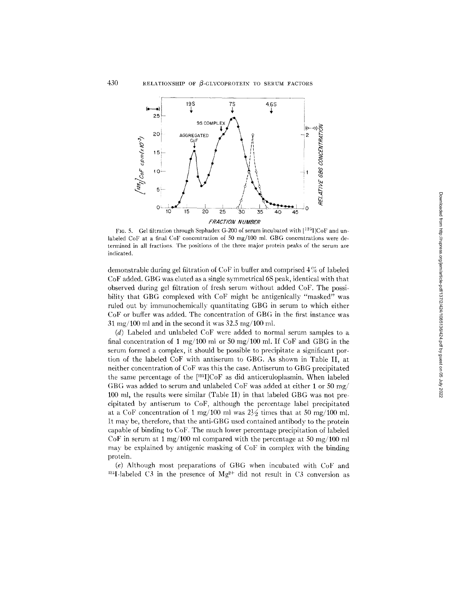

FIG. 5. Gel filtration through Sephadex G-200 of serum incubated with  $[125]$ CoF and unlabeled CoF at a final CoF concentration of 50 mg/100 ml. GBG concentrations were determined in all fractions. The positions of the three major protein peaks of the serum are indicated.

demonstrable during gel filtration of CoF in buffer and comprised 4% of labeled CoF added. GBG was eluted as a single symmetrical 6S peak, identical with that observed during gel filtration of fresh serum without added CoF. The possibility that GBG complexed with CoF might be antigenically "masked" was ruled out by immunochemically quantitating GBG in serum to which either CoF or buffer was added. The concentration of GBG in the first instance was  $31 \text{ mg}/100 \text{ ml}$  and in the second it was  $32.5 \text{ mg}/100 \text{ ml}$ .

(d) Labeled and unlabeled CoF were added to normal serum samples to a final concentration of 1 mg/100 ml or 50 mg/100 ml. If CoF and GBG in the serum formed a complex, it should be possible to precipitate a significant portion of the labeled CoF with antiserum to GBG. As shown in Table II, at neither concentration of CoF was this the case. Antiserum to GBG precipitated the same percentage of the [<sup>125</sup>I]CoF as did anticeruloplasmin. When labeled GBG was added to serum and unlabeled CoF was added at either 1 or 50 mg/ 100 ml, the results were similar (Table II) in that labeled GBG was not precipitated by antiserum to CoF, although the percentage label precipitated at a CoF concentration of 1 mg/100 ml was  $2\frac{1}{2}$  times that at 50 mg/100 ml. It may be, therefore, that the anti-GBG used contained antibody to the protein capable of binding to CoF. The much lower percentage precipitation of labeled CoF in serum at 1 mg/100 ml compared with the percentage at 50 mg/100 ml may be explained by antigenic masking of CoF in complex with the binding protein.

(e) Although most preparations of GBG when incubated with CoF and <sup>125</sup>I-labeled C3 in the presence of  $Mg^{2+}$  did not result in C3 conversion as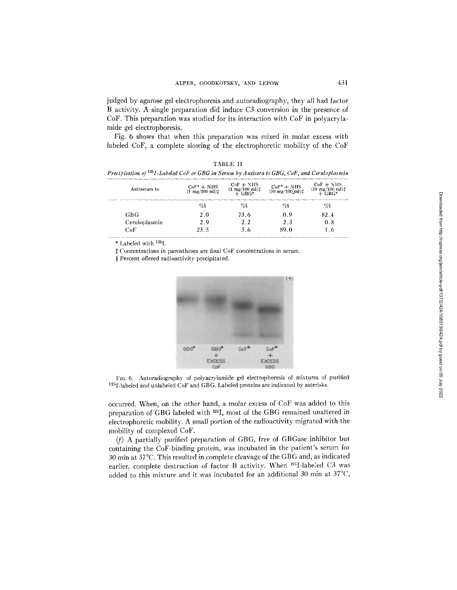judged by agarose gel electrophoresis and autoradiography, they all had factor B activity. A single preparation did induce C3 conversion in the presence of CoF. This preparation was studied for its interaction with CoF in polyacrylamide gel electrophoresis.

Fig. 6 shows that when this preparation was mixed in molar excess with labeled CoF, a complete slowing of the electrophoretic mobility of the CoF

TABLE II

| Precipitation of <sup>125</sup> I-Labeled CoF or GBG in Serum by Antisera to GBG, CoF, and Ceruloplasmin |                                                    |                                                   |                                              |                                                                         |  |  |  |
|----------------------------------------------------------------------------------------------------------|----------------------------------------------------|---------------------------------------------------|----------------------------------------------|-------------------------------------------------------------------------|--|--|--|
| Antiserum to                                                                                             | $CoF^* + NHS$<br>$(1 \text{ mg}/100 \text{ ml})$ : | $CoF + NHS$<br>$(1 \frac{mg}{100} \frac{m}{m})$ : | $CoF^* + NHS$<br>(50 mg/100 ml) <sup>+</sup> | $CoF + NHS$<br>$(50 \frac{\text{mg}}{100} \frac{\text{m}}{\text{H}})$ # |  |  |  |
|                                                                                                          | %§                                                 | %                                                 | $\%$                                         | $\%$                                                                    |  |  |  |
| GBG.                                                                                                     | 2.0                                                | 73.6                                              | 0.9                                          | 82.4                                                                    |  |  |  |
| Ceruloplasmin                                                                                            | 2.9                                                | 2.2                                               | 2.3                                          | 0.8                                                                     |  |  |  |
| CoF                                                                                                      | 23.5                                               | 5.6                                               | 89.0                                         | 1.6                                                                     |  |  |  |

\* Labeled with 125I.

Concentrations in parentheses are final CoF concentrations in serum.

§ Percent offered radioactivity precipitated.



FIG. 6. Autoradiography of polyacrylamide gel electrophoresis of mixtures of purified 125I-labeled and unlabeled CoF and GBG. Labeled proteins are indicated by asterisks.

occurred. When, on the other hand, a molar excess of CoF was added to this preparation of GBG labeled with 125I, most of the GBG remained unaltered in electrophoretic mobility. A small portion of the radioactivity migrated with the mobility of complexed CoF.

(f) A partially purified preparation of GBG, free of GBGase inhibitor but containing the CoF-binding protein, was incubated in the patient's serum fol 30 min at 37°C. This resulted in complete cleavage of the GBG and, as indicated earlier, complete destruction of factor B activity. When <sup>125</sup>I-labeled C3 was added to this mixture and it was incubated for an additional 30 min at  $37^{\circ}$ C,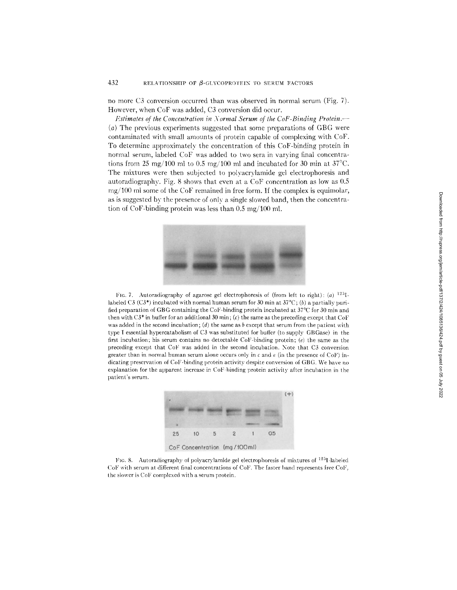# 432 RELATIONSHIP OF  $\beta$ -GLYCOPROTEIN TO SERUM FACTORS

no more C3 conversion occurred than was observed in normal serum (Fig. 7). However, when CoF was added, C3 conversion did occur.

*Estimates of the Concentration in Normal Serum of the CoF-Binding Protein.--*(a) The previous experiments suggested that some preparations of GBG were contaminated with small amounts of protein capable of complexing with CoF. To determine approximately the concentration of this CoF-binding protein in normal serum, labeled CoF was added to two sera in varying final concentrations from 25 mg/100 ml to 0.5 mg/100 ml and incubated for 30 min at  $37^{\circ}$ C. The mixtures were then subjected to polyacrylamide gel electrophoresis and autoradiography. Fig. 8 shows that even at a CoF concentration as low as 0.5  $mg/100$  m some of the CoF remained in free form. If the complex is equimolar, as is suggested by the presence of only a single slowed band, then the concentration of CoF-binding protein was less than  $0.5 \text{ mg}/100 \text{ ml}$ .



FIG. 7. Autoradiography of agarose gel electrophoresis of (from left to right): (a)  $125I$ labeled C3 (C3<sup>\*</sup>) incubated with normal human serum for 30 min at  $37^{\circ}C$ ; (b) a partially purified preparation of GBG containing the CoF-binding protein incubated at  $37^{\circ}$ C for 30 min and then with  $C3^*$  in buffer for an additional 30 min; (c) the same as the preceding except that CoF was added in the second incubation; (d) the same as b except that serum from the patient with type I essential hypercatabolism of C3 was substituted for buffer (to supply GBGase) in the first incubation; his serum contains no detectable CoF-binding protein; (e) the same as the preceding except that CoF was added in the second incubation. Note that C3 conversion greater than in normal human serum alone occurs only in c and e (in the presence of CoF) indicating preservation of CoF-binding protein activity despite conversion of GBG. We have no explanation for the apparent increase in CoF-binding protein activity after incubation in the patient's serum.



FIG. 8. Autoradiography of polyacrylamide gel electrophoresis of mixtures of  $125I$ -labeled CoF with serum at different final concentrations of Col". The faster band represents free Col", the slower is CoF complexed with a serum protein.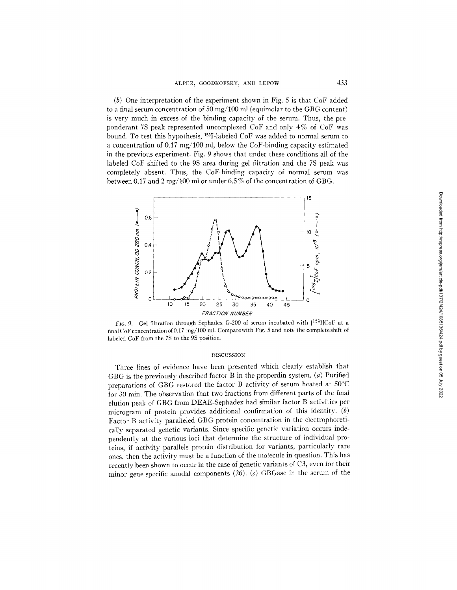(b) One interpretation of the experiment shown in Fig. 5 is that CoF added to a final serum concentration of 50 mg/100 ml (equimolar to the GBG content) is very much in excess of the binding capacity of the serum. Thus, the preponderant 7S peak represented uncomplexed CoF and only 4% of CoF was bound. To test this hypothesis, 125I-labeled CoF was added to normal serum to a concentration of 0.17 mg/100 ml, below the CoF-binding capacity estimated in the previous experiment. Fig. 9 shows that under these conditions all of the labeled CoF shifted to the 9S area during gel filtration and the 7S peak was completely absent. Thus, the CoF-binding capacity of normal serum was between 0.17 and 2 mg/100 ml or under 6.5% of the concentration of GBG.



FIG. 9. Gel filtration through Sephadex G-200 of serum incubated with  $[^{12\text{J}}]CoF$  at a final CoF concentration of 0.17 mg/100 ml. Compare with Fig. 5 and note the complete shift of labeled CoF from the 7S to the 9S position.

#### DISCUSSION

Three lines of evidence have been presented which dearly establish that GBG is the previously described factor B in the properdin system. (a) Purified preparations of GBG restored the factor B activity of serum heated at 50°C for 30 min. The observation that two fractions from different parts of the final elution peak of GBG from DEAE-Sephadex had similar factor B activities per microgram of protein provides additional confirmation of this identity. (b) Factor B activity paralleled GBG protein concentration in the electrophoretically separated genetic variants. Since specific genetic variation occurs independently at the various loci that determine the structure of individual proteins, if activity parallels protein distribution for variants, particularly rare ones, then the activity must be a function of the molecule in question. This has recently been shown to occur in the case of genetic variants of C3, even for their minor gene-specific anodal components  $(26)$ .  $(c)$  GBGase in the serum of the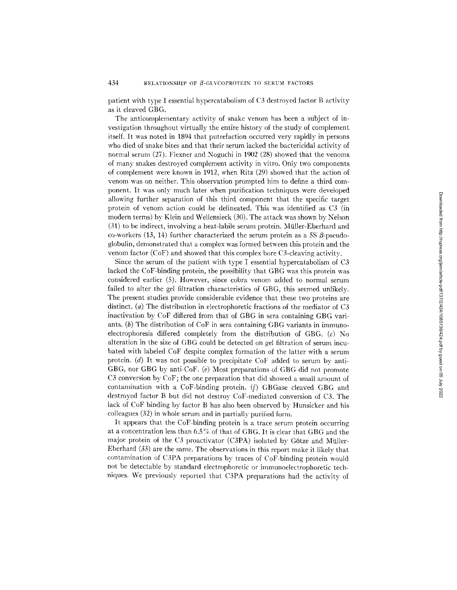patient with type I essential hypercatabolism of C3 destroved factor B activity as it cleaved GBG.

The anticomplementary activity of snake venom has been a subject of investigation throughout virtually the entire history of the study of complement itself. It was noted in 1894 that putrefaction occurred very rapidly in persons who died of snake bites and that their serum lacked the bactericidal activity of normal serum (27). Flexner and Noguchi in 1902 (28) showed that the venoms of many snakes destroyed complement activity in vitro. Only two components of complement were known in 1912, when Ritz (29) showed that the action of venom was on neither. This observation prompted him to define a third component. It was only much later when purification techniques were developed allowing further separation of this third component that the specific target protein of venom action could be delineated. This was identified as C3 (in modern terms) by Klein and Wellensieck (30). The attack was shown by Nelson (31) to be indirect, involving a heat-labile serum protein. Miiller-Eberhard and co-workers (13, 14) further characterized the serum protein as a 5S  $\beta$ -pseudoglobulin, demonstrated that a complex was formed between this protein and the venom factor (CoF) and showed that this complex bore C3-cleaving activity.

Since the serum of the patient with type I essential hypercatabolism of C3 lacked the CoF-binding protein, the possibility that GBG was this protein was considered earlier (5). However, since cobra venom added to normal serum failed to alter the gel filtration characteristics of GBG, this seemed unlikely. The present studies provide considerable evidence that these two proteins are distinct. (a) The distribution in electrophoretic fractions of the mediator of C3 inactivation by CoF differed from that of GBG in sera containing GBG variants.  $(b)$  The distribution of CoF in sera containing GBG variants in immunoelectrophoresis differed completely from the distribution of GBG. (c) No alteration in the size of GBG could be detected on gel filtration of serurn incubated with labeled CoF despite complex formation of the latter with a serum protein. (d) It was not possible to precipitate CoF added to serum by anti-GBG, nor GBG by anti-CoF. (e) Most preparations of GBG did not promote C3 conversion by CoF; the one preparation that did showed a small amount of contamination with a CoF-binding protein. (f) GBGase cleaved GBG and destroyed factor B but did not destroy' CoF-mediated conversion of C3. The lack of CoF binding by factor B has also been observed by Hunsicker and his colleagues (32) in whole serum and in partially purified form.

It appears that the CoF-binding protein is a trace serum protein occurring at a concentration less than 6.5% of that of GBG. It is clear that GBG and the major protein of the C3 proactivator (C3PA) isolated by Götze and Müller-Eberhard (33) are the same. The observations in this report make it likely that contamination of C3PA preparations bv traces of CoF-binding protein would not be detectable by standard electrophoretic or immunoelectrophoretic techniques. We previously reported that C3PA preparations had the activity of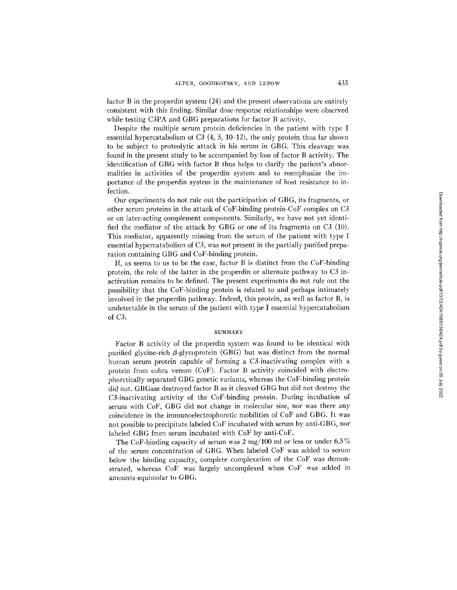factor B in the properdin system (24) and the present observations are entirely consistent with this finding. Similar dose-response relationships were observed while testing C3PA and GBG preparations for factor B activity.

Despite the multiple serum protein deficiencies in the patient with type I essential hypercatabolism of C3  $(4, 5, 10-12)$ , the only protein thus far shown to be subject to proteolytic attack in his serum in GBG. This cleavage was found in the present study to be accompanied by loss of factor B activity. The identification of GBG with factor B thus helps to clarify the patient's abnormalities in activities of the properdin system and to reemphasize the importance of the properdin system in the maintenance of host resistance to infection.

Our experiments do not rule out the participation of GBG, its fragments, or other serum proteins in the attack of CoF-binding protein-CoF complex on C3 or on later-acting complement components. Similarly, we have not yet identified the mediator of the attack by GBG or one of its fragments on C3 (10). This mediator, apparently missing from the serum of the patient with type I essential hypercatabolism of C3, was not present in the partially purified preparation containing GBG and CoF-binding protein.

If, as seems to us to be the case, factor B is distinct from the CoF-binding protein, the role of the latter in the properdin or alternate pathway to C3 inactivation remains to be defined. The present experiments do not rule out the possibility that the CoF-binding protein is related to and perhaps intimately involved in the properdin pathway. Indeed, this protein, as well as factor B, is undetectable in the serum of the patient with type I essential hypercatabolism of C3.

## **SUMMARY**

Factor B activity of the properdin system was found to be identical with purified glycine-rich  $\beta$ -glycoprotein (GBG) but was distinct from the normal human serum protein capable of forming a C3-inactivating complex with a protein from cobra venom (CoF). Factor B activity coincided with electrophoretically separated GBG genetic variants, whereas the CoF-binding protein did not. GBGase destroyed factor B as it cleaved GBG but did not destroy the C3-inactivafing activity of the CoF-binding protein. During incubation of serum with CoF, GBG did not change in molecular size, nor was there any coincidence in the immunoelectrophoretic mobilities of CoF and GBG. It was not possible to precipitate labeled CoF incubated with serum by anti-GBG, nor labeled GBG from serum incubated with CoF by anti-CoF.

The CoF-binding capacity of serum was 2 mg/100 ml or less or under 6.5% of the serum concentration of GBG. When labeled CoF was added to serum below the binding capacity, complete complexation of the CoF was demonstrated, whereas CoF was largely uncomplexed when CoF was added in amounts equimolar to GBG.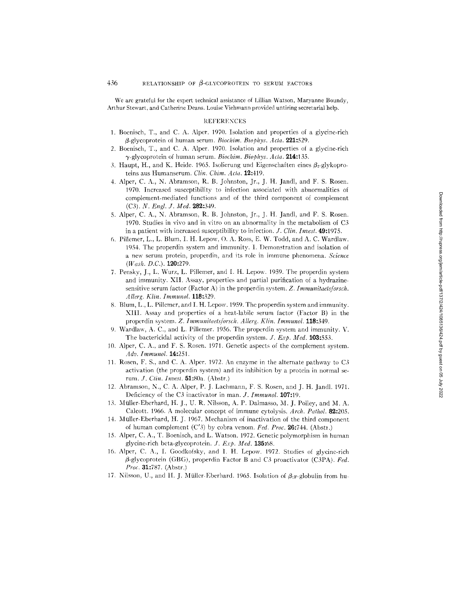We are grateful for the expert technical assistance of Lillian Watson, Maryanne Boundy, Arthur Stewart, and Catherine Deans. Louise Viehmann provided untiring secretarial help.

### REFERENCES

- 1. Boenisch, T., and C. A. Alper. 1970. Isolation and properties of a glycine-rich fl-glycoprotein of human serum. *Biochim. Biophys. Acta.* 221:529.
- 2. Boeniseh, T., and C. A. Alper. 1970. Isolation and properties of a glycine-rieh 7-glycoprotein of human serum. *Biochim. Biophys. Acta.* 214:135.
- 3. Haupt, H., and K. Heide. 1965. Isolierung und Eigenschaften eines  $\beta_2$ -glykoproreins aus Humanserum. *Clin. Chim. Acta.* 12:419.
- 4. Alper, C. A., N. Abramson, R. B. Johnston, Jr., J. H. Jandl, and F. S. Rosen. 1970. Increased susceptibility to infection associated with abnormalities of complement-mediated functions and of the third component of complement (C3). *N. Engl. J. Med.* **282:349.**
- 5. Alper, C. A., N. Abramson, R. B. Johnston, Jr., J. H. Jandl, and F. S. Rosen. 1970. Studies in vivo and in vitro on an abnormality in the metabolism of C3 in a patient with increased susceptibility to infection. *J. CIin. Invesl.* 49:1975.
- 6. Pillemer, L., L. Blum, I. H. Lepow, O. A. Ross, E. W. Todd, and A. C. Wardlaw. 1954. The properdin system and immunity, i. Demonstration and isolation of a new serum protein, properdin, and its role in immune phenomena. *Science (Wash. D.C.).* 120:279.
- 7. Pensky, J., L. Wurz, L. Pillemer, and I. H. Lepow. 1959. The properdin system and immunity. XII. Assay, properties and partial purification of a hydrazinesensitive serum factor (Factor A) in the properdin system. *Z. [mmunitaelsforsch. Allerg. Klin. Immunol.* 118:329.
- 8. Blum, L., L. Pillemer, and I. H. Lepow. 1959. The properdin system and immunity. XIII. Assay and properties of a heat-labile serum factor (Factor B) in the properdin system. *Z. Immunitaelslforsch. Allerg. Kliu.. ImmunoI.* 118:349.
- 9. Wardlaw, A. C., and L. Pillemer. 1956. The properdin system and immunity. V. The bactericidal activity of the properdin system. *J. Exp. Med.* 103:553.
- 10. Alper, C. A., and F. S. Rosen. 1971. Genetic aspects of the complement system. *Adv. Immunol.* 14:251.
- 11. Rosen, F. S., and C. A. Alper. 1972. An enzyme in the alternate pathway to C3 activation (the properdin system) and its inhibition by a protein in normal serum. *J. Ctin. Invest.* 51:80a. (Abstr.)
- 12. Abramson, N., C. A. Alper, P. J. Lachmann, F. S. Rosen, and J. H. Jandl. 1971. Deficiency of the C3 inactivator in man. *J. Immunol.* **107:**19.
- 13. Miiller-Eberhard, H. J., U. R. Nilsson, A. P. Dalmasso, M. J. Polley, and M. A. Calcott. 1966. A molecular concept of immune cytolysis. *Arch. Pathol.* 82:205.
- 14. Mfiller-Eberhard, H. J. 1967. Mechanism of inactivation of the third component of human complement (C'3) by cobra venom. *Fed. Proc.* 26:744. (Abstr.)
- 15. Alper, C. A., T. Boenisch, and L. Watson. 1972. Genetic polymorphism in human glycine-rich beta-glycoprotein. *J. Exp. Med.* 135:68.
- 16. Alper, C. A., I. Goodkofsky, and I. H. Lepow. 1972. Studies of glycine-rich fi-glycoprotein (GBG), properdin Factor B and C3 proactivator (C3PA). *Fed. Proc.* 31:787. (Abstr.)
- 17. Nilsson, U., and H. J. Müller-Eberhard. 1965. Isolation of  $\beta_1$ -globulin from hu-